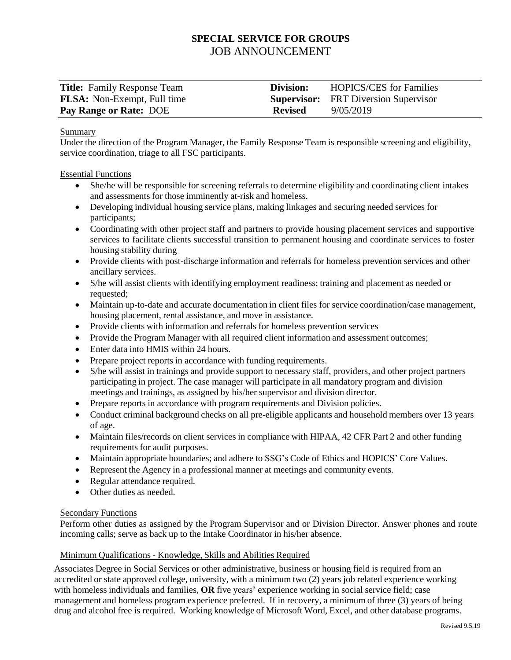# **SPECIAL SERVICE FOR GROUPS** JOB ANNOUNCEMENT

| <b>Title:</b> Family Response Team | Division:      | <b>HOPICS/CES</b> for Families              |
|------------------------------------|----------------|---------------------------------------------|
| <b>FLSA:</b> Non-Exempt, Full time |                | <b>Supervisor:</b> FRT Diversion Supervisor |
| <b>Pay Range or Rate: DOE</b>      | <b>Revised</b> | 9/05/2019                                   |

#### Summary

Under the direction of the Program Manager, the Family Response Team is responsible screening and eligibility, service coordination, triage to all FSC participants.

#### Essential Functions

- She/he will be responsible for screening referrals to determine eligibility and coordinating client intakes and assessments for those imminently at-risk and homeless.
- Developing individual housing service plans, making linkages and securing needed services for participants;
- Coordinating with other project staff and partners to provide housing placement services and supportive services to facilitate clients successful transition to permanent housing and coordinate services to foster housing stability during
- Provide clients with post-discharge information and referrals for homeless prevention services and other ancillary services.
- S/he will assist clients with identifying employment readiness; training and placement as needed or requested;
- Maintain up-to-date and accurate documentation in client files for service coordination/case management, housing placement, rental assistance, and move in assistance.
- Provide clients with information and referrals for homeless prevention services
- Provide the Program Manager with all required client information and assessment outcomes;
- Enter data into HMIS within 24 hours.
- Prepare project reports in accordance with funding requirements.
- S/he will assist in trainings and provide support to necessary staff, providers, and other project partners participating in project. The case manager will participate in all mandatory program and division meetings and trainings, as assigned by his/her supervisor and division director.
- Prepare reports in accordance with program requirements and Division policies.
- Conduct criminal background checks on all pre-eligible applicants and household members over 13 years of age.
- Maintain files/records on client services in compliance with HIPAA, 42 CFR Part 2 and other funding requirements for audit purposes.
- Maintain appropriate boundaries; and adhere to SSG's Code of Ethics and HOPICS' Core Values.
- Represent the Agency in a professional manner at meetings and community events.
- Regular attendance required.
- Other duties as needed.

# Secondary Functions

Perform other duties as assigned by the Program Supervisor and or Division Director. Answer phones and route incoming calls; serve as back up to the Intake Coordinator in his/her absence.

# Minimum Qualifications - Knowledge, Skills and Abilities Required

Associates Degree in Social Services or other administrative, business or housing field is required from an accredited or state approved college, university, with a minimum two (2) years job related experience working with homeless individuals and families, **OR** five years' experience working in social service field; case management and homeless program experience preferred. If in recovery, a minimum of three (3) years of being drug and alcohol free is required. Working knowledge of Microsoft Word, Excel, and other database programs.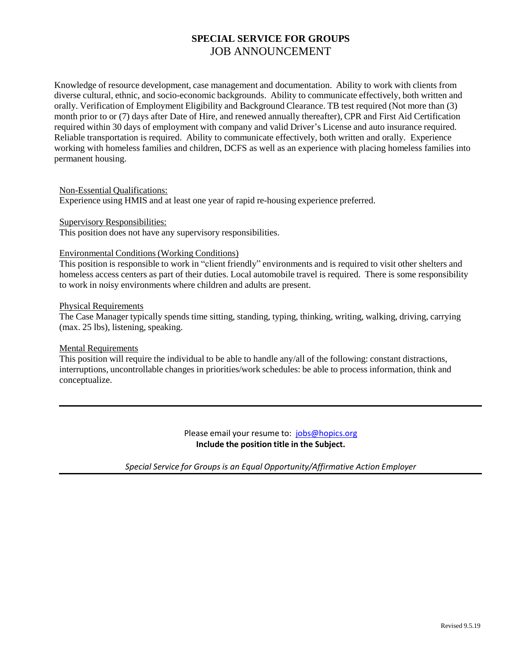# **SPECIAL SERVICE FOR GROUPS** JOB ANNOUNCEMENT

Knowledge of resource development, case management and documentation. Ability to work with clients from diverse cultural, ethnic, and socio-economic backgrounds. Ability to communicate effectively, both written and orally. Verification of Employment Eligibility and Background Clearance. TB test required (Not more than (3) month prior to or (7) days after Date of Hire, and renewed annually thereafter), CPR and First Aid Certification required within 30 days of employment with company and valid Driver's License and auto insurance required. Reliable transportation is required. Ability to communicate effectively, both written and orally. Experience working with homeless families and children, DCFS as well as an experience with placing homeless families into permanent housing.

# Non-Essential Qualifications:

Experience using HMIS and at least one year of rapid re-housing experience preferred.

Supervisory Responsibilities:

This position does not have any supervisory responsibilities.

#### Environmental Conditions (Working Conditions)

This position is responsible to work in "client friendly" environments and is required to visit other shelters and homeless access centers as part of their duties. Local automobile travel is required. There is some responsibility to work in noisy environments where children and adults are present.

#### Physical Requirements

The Case Manager typically spends time sitting, standing, typing, thinking, writing, walking, driving, carrying (max. 25 lbs), listening, speaking.

# **Mental Requirements**

This position will require the individual to be able to handle any/all of the following: constant distractions, interruptions, uncontrollable changes in priorities/work schedules: be able to process information, think and conceptualize.

> Please email your resume to: [jobs@hopics.org](mailto:jobs@hopics.org) **Include the position title in the Subject.**

*Special Service for Groups is an Equal Opportunity/Affirmative Action Employer*